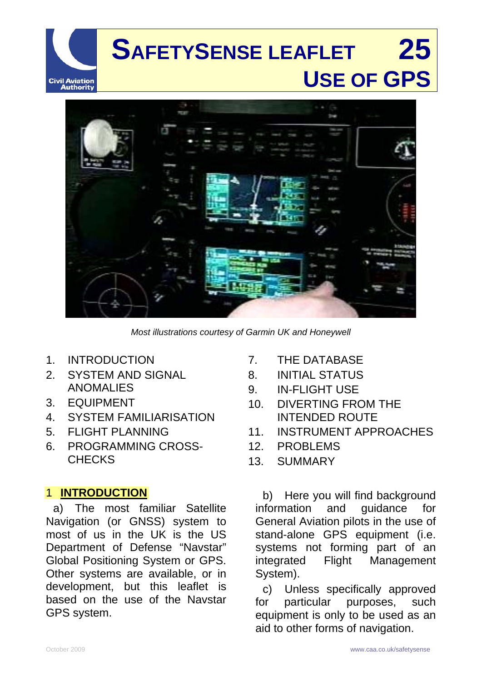



*Most illustrations courtesy of Garmin UK and Honeywell* 

- 1. INTRODUCTION
- 2. SYSTEM AND SIGNAL ANOMALIES
- 3. EQUIPMENT
- 4. SYSTEM FAMILIARISATION
- 5. FLIGHT PLANNING
- 6. PROGRAMMING CROSS-**CHECKS**

#### 1 **INTRODUCTION**

a) The most familiar Satellite Navigation (or GNSS) system to most of us in the UK is the US Department of Defense "Navstar" Global Positioning System or GPS. Other systems are available, or in development, but this leaflet is based on the use of the Navstar GPS system.

- 7. THE DATABASE
- 8. INITIAL STATUS
- 9. IN-FLIGHT USE
- 10. DIVERTING FROM THE INTENDED ROUTE
- 11. INSTRUMENT APPROACHES
- 12. PROBLEMS
- 13. SUMMARY

b) Here you will find background information and guidance for General Aviation pilots in the use of stand-alone GPS equipment (i.e. systems not forming part of an integrated Flight Management System).

c) Unless specifically approved for particular purposes, such equipment is only to be used as an aid to other forms of navigation.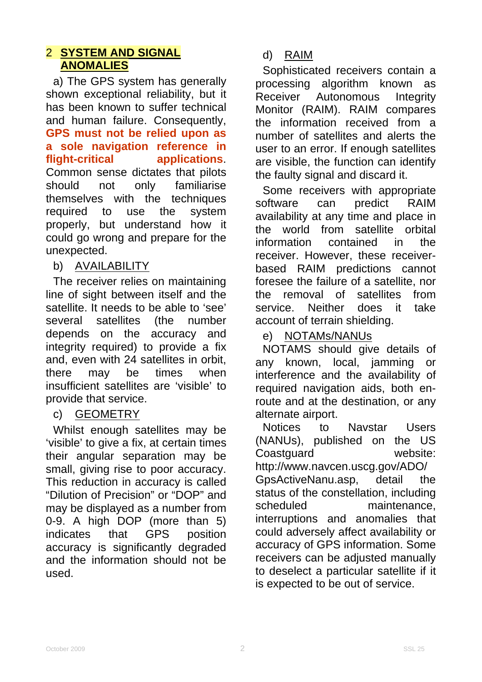## 2 **SYSTEM AND SIGNAL ANOMALIES**

a) The GPS system has generally shown exceptional reliability, but it has been known to suffer technical and human failure. Consequently, **GPS must not be relied upon as a sole navigation reference in flight-critical applications**. Common sense dictates that pilots should not only familiarise themselves with the techniques required to use the system properly, but understand how it could go wrong and prepare for the unexpected.

### b) AVAILABILITY

The receiver relies on maintaining line of sight between itself and the satellite. It needs to be able to 'see' several satellites (the number depends on the accuracy and integrity required) to provide a fix and, even with 24 satellites in orbit, there may be times when insufficient satellites are 'visible' to provide that service.

### c) GEOMETRY

Whilst enough satellites may be 'visible' to give a fix, at certain times their angular separation may be small, giving rise to poor accuracy. This reduction in accuracy is called "Dilution of Precision" or "DOP" and may be displayed as a number from 0-9. A high DOP (more than 5) indicates that GPS position accuracy is significantly degraded and the information should not be used.

Sophisticated receivers contain a processing algorithm known as Receiver Autonomous Integrity Monitor (RAIM). RAIM compares the information received from a number of satellites and alerts the user to an error. If enough satellites are visible, the function can identify the faulty signal and discard it.

Some receivers with appropriate software can predict RAIM availability at any time and place in the world from satellite orbital information contained in the receiver. However, these receiverbased RAIM predictions cannot foresee the failure of a satellite, nor the removal of satellites from service. Neither does it take account of terrain shielding.

e) NOTAMs/NANUs

NOTAMS should give details of any known, local, jamming or interference and the availability of required navigation aids, both enroute and at the destination, or any alternate airport.

Notices to Navstar Users (NANUs), published on the US Coastguard website: [http://www.navcen.uscg.gov/ADO/](http://www.navcen.uscg.gov/ADO/GpsActiveNanu.asp) [GpsActiveNanu.asp](http://www.navcen.uscg.gov/ADO/GpsActiveNanu.asp), detail the status of the constellation, including scheduled maintenance. interruptions and anomalies that could adversely affect availability or accuracy of GPS information. Some receivers can be adjusted manually to deselect a particular satellite if it is expected to be out of service.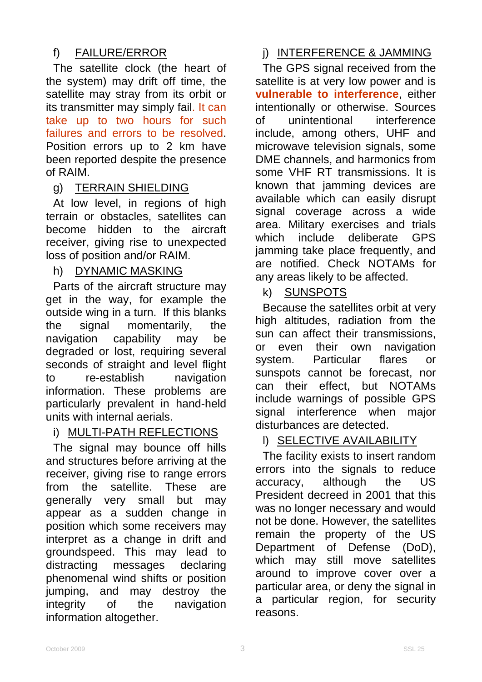# f) FAILURE/ERROR

The satellite clock (the heart of the system) may drift off time, the satellite may stray from its orbit or its transmitter may simply fail. It can take up to two hours for such failures and errors to be resolved. Position errors up to 2 km have been reported despite the presence of RAIM.

## g) TERRAIN SHIELDING

At low level, in regions of high terrain or obstacles, satellites can become hidden to the aircraft receiver, giving rise to unexpected loss of position and/or RAIM.

### h) DYNAMIC MASKING

Parts of the aircraft structure may get in the way, for example the outside wing in a turn. If this blanks the signal momentarily, the navigation capability may be degraded or lost, requiring several seconds of straight and level flight to re-establish navigation information. These problems are particularly prevalent in hand-held units with internal aerials.

## i) MULTI-PATH REFLECTIONS

The signal may bounce off hills and structures before arriving at the receiver, giving rise to range errors from the satellite. These are generally very small but may appear as a sudden change in position which some receivers may interpret as a change in drift and groundspeed. This may lead to distracting messages declaring phenomenal wind shifts or position jumping, and may destroy the integrity of the navigation information altogether.

# j) INTERFERENCE & JAMMING

The GPS signal received from the satellite is at very low power and is **vulnerable to interference**, either intentionally or otherwise. Sources of unintentional interference include, among others, UHF and microwave television signals, some DME channels, and harmonics from some VHF RT transmissions. It is known that jamming devices are available which can easily disrupt signal coverage across a wide area. Military exercises and trials which include deliberate GPS jamming take place frequently, and are notified. Check NOTAMs for any areas likely to be affected.

### k) SUNSPOTS

Because the satellites orbit at very high altitudes, radiation from the sun can affect their transmissions, or even their own navigation system. Particular flares or sunspots cannot be forecast, nor can their effect, but NOTAMs include warnings of possible GPS signal interference when major disturbances are detected.

### l) SELECTIVE AVAILABILITY

The facility exists to insert random errors into the signals to reduce accuracy, although the US President decreed in 2001 that this was no longer necessary and would not be done. However, the satellites remain the property of the US Department of Defense (DoD), which may still move satellites around to improve cover over a particular area, or deny the signal in a particular region, for security reasons.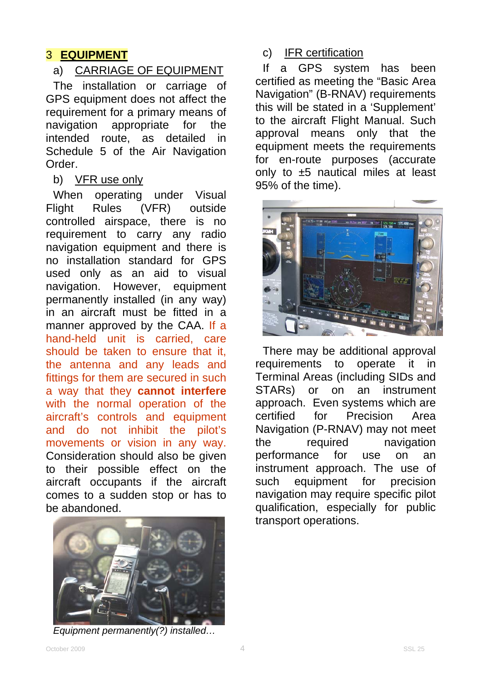### 3 **EQUIPMENT**

### a) CARRIAGE OF EQUIPMENT

The installation or carriage of GPS equipment does not affect the requirement for a primary means of navigation appropriate for the intended route, as detailed in Schedule 5 of the Air Navigation Order.

### b) VFR use only

When operating under Visual Flight Rules (VFR) outside controlled airspace, there is no requirement to carry any radio navigation equipment and there is no installation standard for GPS used only as an aid to visual navigation. However, equipment permanently installed (in any way) in an aircraft must be fitted in a manner approved by the CAA. If a hand-held unit is carried, care should be taken to ensure that it, the antenna and any leads and fittings for them are secured in such a way that they **cannot interfere** with the normal operation of the aircraft's controls and equipment and do not inhibit the pilot's movements or vision in any way. Consideration should also be given to their possible effect on the aircraft occupants if the aircraft comes to a sudden stop or has to be abandoned.



*Equipment permanently(?) installed…* 

c) IFR certification

If a GPS system has been certified as meeting the "Basic Area Navigation" (B-RNAV) requirements this will be stated in a 'Supplement' to the aircraft Flight Manual. Such approval means only that the equipment meets the requirements for en-route purposes (accurate only to ±5 nautical miles at least 95% of the time).



There may be additional approval requirements to operate it in Terminal Areas (including SIDs and STARs) or on an instrument approach. Even systems which are certified for Precision Area Navigation (P-RNAV) may not meet the required navigation performance for use on an instrument approach. The use of such equipment for precision navigation may require specific pilot qualification, especially for public transport operations.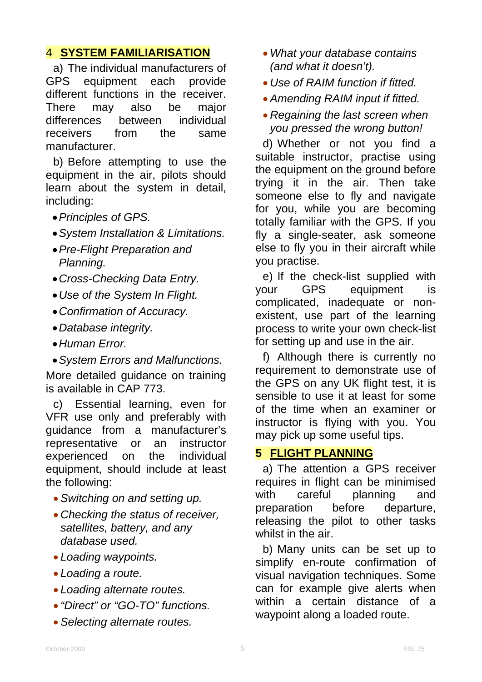## 4 **SYSTEM FAMILIARISATION**

a) The individual manufacturers of GPS equipment each provide different functions in the receiver. There may also be major differences between individual receivers from the same manufacturer.

b) Before attempting to use the equipment in the air, pilots should learn about the system in detail, including:

- *Principles of GPS.*
- *System Installation & Limitations.*
- *Pre-Flight Preparation and Planning.*
- *Cross-Checking Data Entry.*
- *Use of the System In Flight.*
- *Confirmation of Accuracy.*
- *Database integrity.*
- *Human Error.*
- *System Errors and Malfunctions.*

More detailed guidance on training is available in CAP 773.

c) Essential learning, even for VFR use only and preferably with guidance from a manufacturer's representative or an instructor experienced on the individual equipment, should include at least the following:

- *Switching on and setting up.*
- *Checking the status of receiver, satellites, battery, and any database used.*
- *Loading waypoints.*
- *Loading a route.*
- *Loading alternate routes.*
- *"Direct" or "GO-TO" functions.*
- *Selecting alternate routes.*
- *What your database contains (and what it doesn't).*
- *Use of RAIM function if fitted.*
- *Amending RAIM input if fitted.*
- *Regaining the last screen when you pressed the wrong button!*

d) Whether or not you find a suitable instructor, practise using the equipment on the ground before trying it in the air. Then take someone else to fly and navigate for you, while you are becoming totally familiar with the GPS. If you fly a single-seater, ask someone else to fly you in their aircraft while you practise.

e) If the check-list supplied with your GPS equipment is complicated, inadequate or nonexistent, use part of the learning process to write your own check-list for setting up and use in the air.

f) Although there is currently no requirement to demonstrate use of the GPS on any UK flight test, it is sensible to use it at least for some of the time when an examiner or instructor is flying with you. You may pick up some useful tips.

# **5 FLIGHT PLANNING**

a) The attention a GPS receiver requires in flight can be minimised with careful planning and preparation before departure, releasing the pilot to other tasks whilst in the air.

b) Many units can be set up to simplify en-route confirmation of visual navigation techniques. Some can for example give alerts when within a certain distance of a waypoint along a loaded route.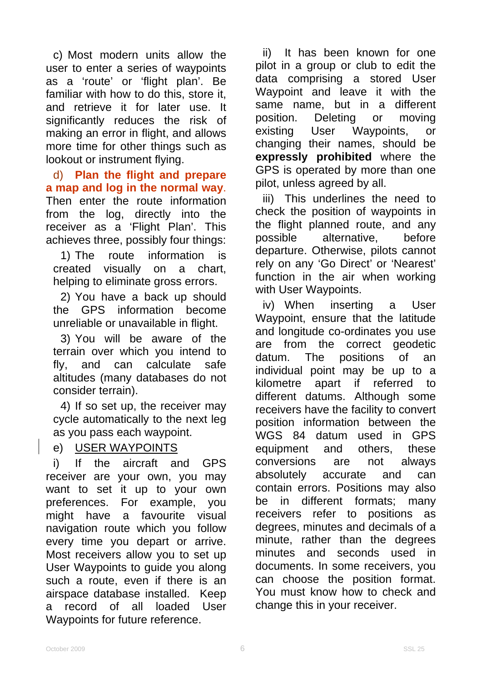c) Most modern units allow the user to enter a series of waypoints as a 'route' or 'flight plan'. Be familiar with how to do this, store it. and retrieve it for later use. It significantly reduces the risk of making an error in flight, and allows more time for other things such as lookout or instrument flying.

d) **Plan the flight and prepare a map and log in the normal way**. Then enter the route information from the log, directly into the receiver as a 'Flight Plan'. This achieves three, possibly four things:

1) The route information is created visually on a chart, helping to eliminate gross errors.

2) You have a back up should the GPS information become unreliable or unavailable in flight.

3) You will be aware of the terrain over which you intend to fly, and can calculate safe altitudes (many databases do not consider terrain).

4) If so set up, the receiver may cycle automatically to the next leg as you pass each waypoint.

### e) USER WAYPOINTS

i) If the aircraft and GPS receiver are your own, you may want to set it up to your own preferences. For example, you might have a favourite visual navigation route which you follow every time you depart or arrive. Most receivers allow you to set up User Waypoints to guide you along such a route, even if there is an airspace database installed. Keep a record of all loaded User Waypoints for future reference.

ii) It has been known for one pilot in a group or club to edit the data comprising a stored User Waypoint and leave it with the same name, but in a different position. Deleting or moving existing User Waypoints, or changing their names, should be **expressly prohibited** where the GPS is operated by more than one pilot, unless agreed by all.

iii) This underlines the need to check the position of waypoints in the flight planned route, and any possible alternative, before departure. Otherwise, pilots cannot rely on any 'Go Direct' or 'Nearest' function in the air when working with User Waypoints.

iv) When inserting a User Waypoint, ensure that the latitude and longitude co-ordinates you use are from the correct geodetic datum. The positions of an individual point may be up to a kilometre apart if referred to different datums. Although some receivers have the facility to convert position information between the WGS 84 datum used in GPS equipment and others, these conversions are not always absolutely accurate and can contain errors. Positions may also be in different formats; many receivers refer to positions as degrees, minutes and decimals of a minute, rather than the degrees minutes and seconds used in documents. In some receivers, you can choose the position format. You must know how to check and change this in your receiver.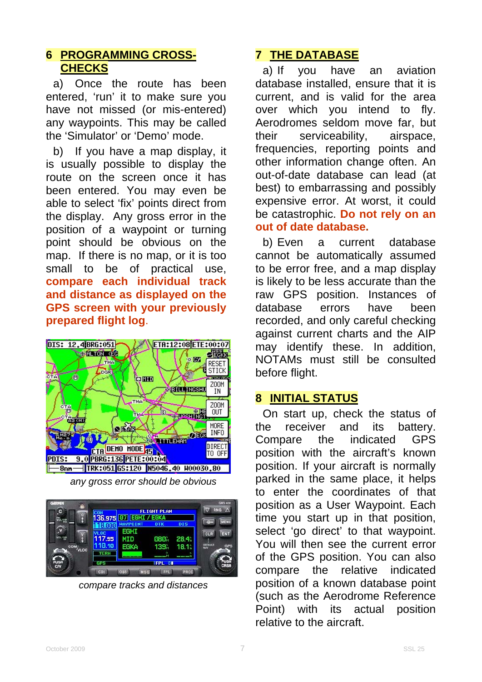### **6 PROGRAMMING CROSS-CHECKS**

a) Once the route has been entered, 'run' it to make sure you have not missed (or mis-entered) any waypoints. This may be called the 'Simulator' or 'Demo' mode.

b) If you have a map display, it is usually possible to display the route on the screen once it has been entered. You may even be able to select 'fix' points direct from the display. Any gross error in the position of a waypoint or turning point should be obvious on the map. If there is no map, or it is too small to be of practical use, **compare each individual track and distance as displayed on the GPS screen with your previously prepared flight log**.



*any gross error should be obvious* 



*compare tracks and distances* 

## **7 THE DATABASE**

a) If you have an aviation database installed, ensure that it is current, and is valid for the area over which you intend to fly. Aerodromes seldom move far, but their serviceability, airspace, frequencies, reporting points and other information change often. An out-of-date database can lead (at best) to embarrassing and possibly expensive error. At worst, it could be catastrophic. **Do not rely on an out of date database.**

b) Even a current database cannot be automatically assumed to be error free, and a map display is likely to be less accurate than the raw GPS position. Instances of database errors have been recorded, and only careful checking against current charts and the AIP may identify these. In addition, NOTAMs must still be consulted before flight.

### **8 INITIAL STATUS**

On start up, check the status of the receiver and its battery. Compare the indicated GPS position with the aircraft's known position. If your aircraft is normally parked in the same place, it helps to enter the coordinates of that position as a User Waypoint. Each time you start up in that position, select 'go direct' to that waypoint. You will then see the current error of the GPS position. You can also compare the relative indicated position of a known database point (such as the Aerodrome Reference Point) with its actual position relative to the aircraft.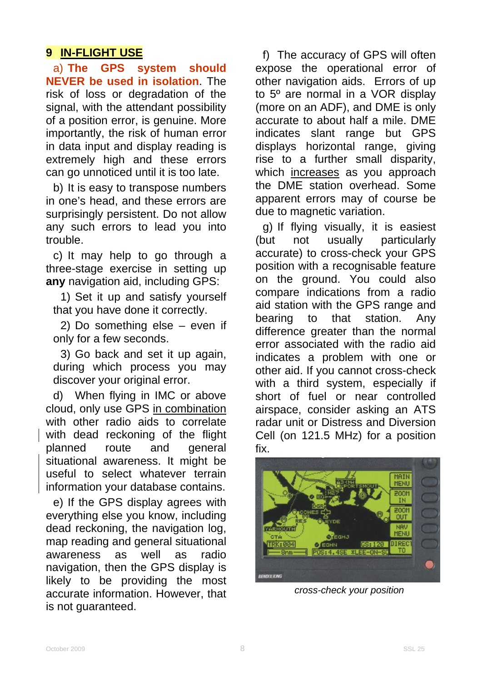### **9 IN-FLIGHT USE**

a) **The GPS system should NEVER be used in isolation**. The risk of loss or degradation of the signal, with the attendant possibility of a position error, is genuine. More importantly, the risk of human error in data input and display reading is extremely high and these errors can go unnoticed until it is too late.

b) It is easy to transpose numbers in one's head, and these errors are surprisingly persistent. Do not allow any such errors to lead you into trouble.

c) It may help to go through a three-stage exercise in setting up **any** navigation aid, including GPS:

1) Set it up and satisfy yourself that you have done it correctly.

2) Do something else – even if only for a few seconds.

3) Go back and set it up again, during which process you may discover your original error.

d) When flying in IMC or above cloud, only use GPS in combination with other radio aids to correlate with dead reckoning of the flight planned route and general situational awareness. It might be useful to select whatever terrain information your database contains.

e) If the GPS display agrees with everything else you know, including dead reckoning, the navigation log, map reading and general situational awareness as well as radio navigation, then the GPS display is likely to be providing the most accurate information. However, that is not guaranteed.

f) The accuracy of GPS will often expose the operational error of other navigation aids. Errors of up to 5º are normal in a VOR display (more on an ADF), and DME is only accurate to about half a mile. DME indicates slant range but GPS displays horizontal range, giving rise to a further small disparity, which increases as you approach the DME station overhead. Some apparent errors may of course be due to magnetic variation.

g) If flying visually, it is easiest (but not usually particularly accurate) to cross-check your GPS position with a recognisable feature on the ground. You could also compare indications from a radio aid station with the GPS range and bearing to that station. Any difference greater than the normal error associated with the radio aid indicates a problem with one or other aid. If you cannot cross-check with a third system, especially if short of fuel or near controlled airspace, consider asking an ATS radar unit or Distress and Diversion Cell (on 121.5 MHz) for a position fix.



*cross-check your position*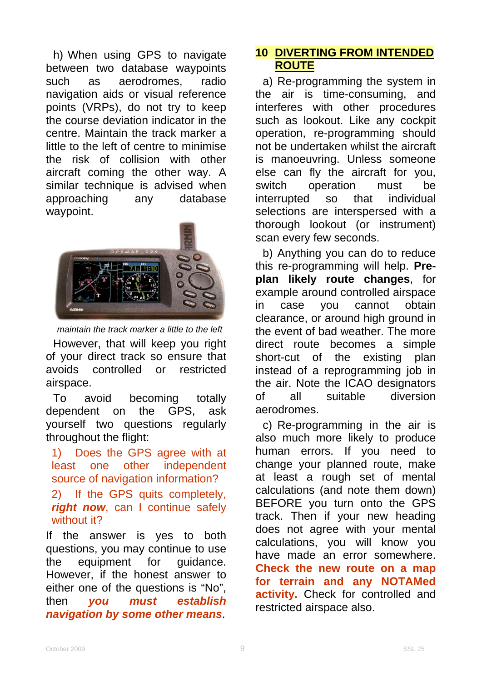h) When using GPS to navigate between two database waypoints such as aerodromes, radio navigation aids or visual reference points (VRPs), do not try to keep the course deviation indicator in the centre. Maintain the track marker a little to the left of centre to minimise the risk of collision with other aircraft coming the other way. A similar technique is advised when approaching any database waypoint.



*maintain the track marker a little to the left* 

However, that will keep you right of your direct track so ensure that avoids controlled or restricted airspace.

To avoid becoming totally dependent on the GPS, ask yourself two questions regularly throughout the flight:

1) Does the GPS agree with at least one other independent source of navigation information?

2) If the GPS quits completely, *right now*, can I continue safely without it?

If the answer is yes to both questions, you may continue to use the equipment for guidance. However, if the honest answer to either one of the questions is "No", then *you must establish navigation by some other means*.

### **10 DIVERTING FROM INTENDED ROUTE**

a) Re-programming the system in the air is time-consuming, and interferes with other procedures such as lookout. Like any cockpit operation, re-programming should not be undertaken whilst the aircraft is manoeuvring. Unless someone else can fly the aircraft for you, switch operation must be interrupted so that individual selections are interspersed with a thorough lookout (or instrument) scan every few seconds.

b) Anything you can do to reduce this re-programming will help. **Preplan likely route changes**, for example around controlled airspace in case you cannot obtain clearance, or around high ground in the event of bad weather. The more direct route becomes a simple short-cut of the existing plan instead of a reprogramming job in the air. Note the ICAO designators of all suitable diversion aerodromes.

c) Re-programming in the air is also much more likely to produce human errors. If you need to change your planned route, make at least a rough set of mental calculations (and note them down) BEFORE you turn onto the GPS track. Then if your new heading does not agree with your mental calculations, you will know you have made an error somewhere. **Check the new route on a map for terrain and any NOTAMed activity.** Check for controlled and restricted airspace also.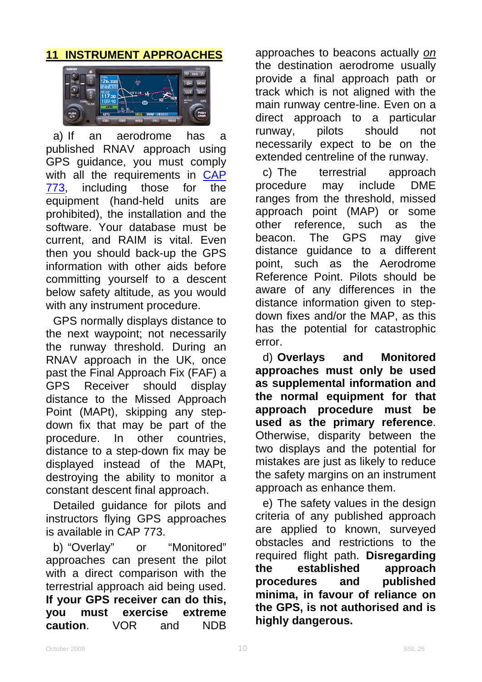### **11 INSTRUMENT APPROACHES**



a) If an aerodrome has a published RNAV approach using GPS guidance, you must comply with all the requirements in CAP [773](http://www.caa.co.uk/application.aspx?catid=33&pagetype=65&appid=11&mode=detail&id=2840), including those for the equipment (hand-held units are prohibited), the installation and the software. Your database must be current, and RAIM is vital. Even then you should back-up the GPS information with other aids before committing yourself to a descent below safety altitude, as you would with any instrument procedure.

GPS normally displays distance to the next waypoint; not necessarily the runway threshold. During an RNAV approach in the UK, once past the Final Approach Fix (FAF) a GPS Receiver should display distance to the Missed Approach Point (MAPt), skipping any stepdown fix that may be part of the procedure. In other countries, distance to a step-down fix may be displayed instead of the MAPt, destroying the ability to monitor a constant descent final approach.

Detailed guidance for pilots and instructors flying GPS approaches is available in CAP 773.

b) "Overlay" or "Monitored" approaches can present the pilot with a direct comparison with the terrestrial approach aid being used. **If your GPS receiver can do this, you must exercise extreme caution**. VOR and NDB

approaches to beacons actually *on* the destination aerodrome usually provide a final approach path or track which is not aligned with the main runway centre-line. Even on a direct approach to a particular runway, pilots should not necessarily expect to be on the extended centreline of the runway.

c) The terrestrial approach procedure may include DME ranges from the threshold, missed approach point (MAP) or some other reference, such as the beacon. The GPS may give distance guidance to a different point, such as the Aerodrome Reference Point. Pilots should be aware of any differences in the distance information given to stepdown fixes and/or the MAP, as this has the potential for catastrophic error.

d) **Overlays and Monitored approaches must only be used as supplemental information and the normal equipment for that approach procedure must be used as the primary reference**. Otherwise, disparity between the two displays and the potential for mistakes are just as likely to reduce the safety margins on an instrument approach as enhance them.

e) The safety values in the design criteria of any published approach are applied to known, surveyed obstacles and restrictions to the required flight path. **Disregarding the established approach procedures and published minima, in favour of reliance on the GPS, is not authorised and is highly dangerous.**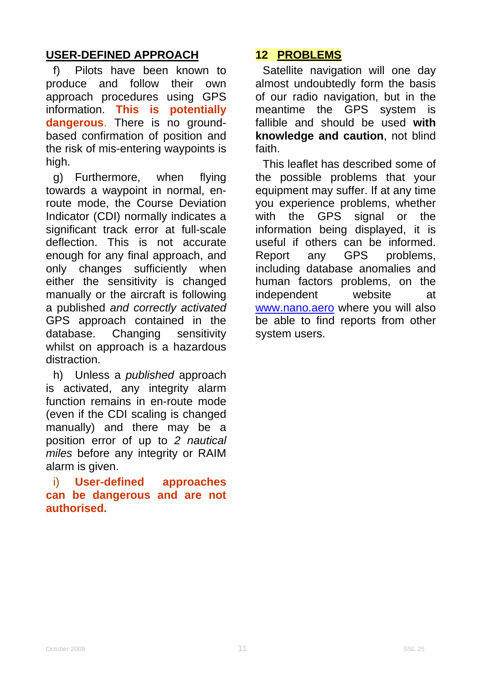### **USER-DEFINED APPROACH**

f) Pilots have been known to produce and follow their own approach procedures using GPS information. **This is potentially dangerous**. There is no groundbased confirmation of position and the risk of mis-entering waypoints is high.

g) Furthermore, when flying towards a waypoint in normal, enroute mode, the Course Deviation Indicator (CDI) normally indicates a significant track error at full-scale deflection. This is not accurate enough for any final approach, and only changes sufficiently when either the sensitivity is changed manually or the aircraft is following a published *and correctly activated* GPS approach contained in the database. Changing sensitivity whilst on approach is a hazardous distraction.

h) Unless a *published* approach is activated, any integrity alarm function remains in en-route mode (even if the CDI scaling is changed manually) and there may be a position error of up to *2 nautical miles* before any integrity or RAIM alarm is given.

#### i) **User-defined approaches can be dangerous and are not authorised.**

### **12 PROBLEMS**

Satellite navigation will one day almost undoubtedly form the basis of our radio navigation, but in the meantime the GPS system is fallible and should be used **with knowledge and caution**, not blind faith.

This leaflet has described some of the possible problems that your equipment may suffer. If at any time you experience problems, whether with the GPS signal or the information being displayed, it is useful if others can be informed. Report any GPS problems, including database anomalies and human factors problems, on the independent website at [www.nano.aero](http://www.nano.aero/) where you will also be able to find reports from other system users.